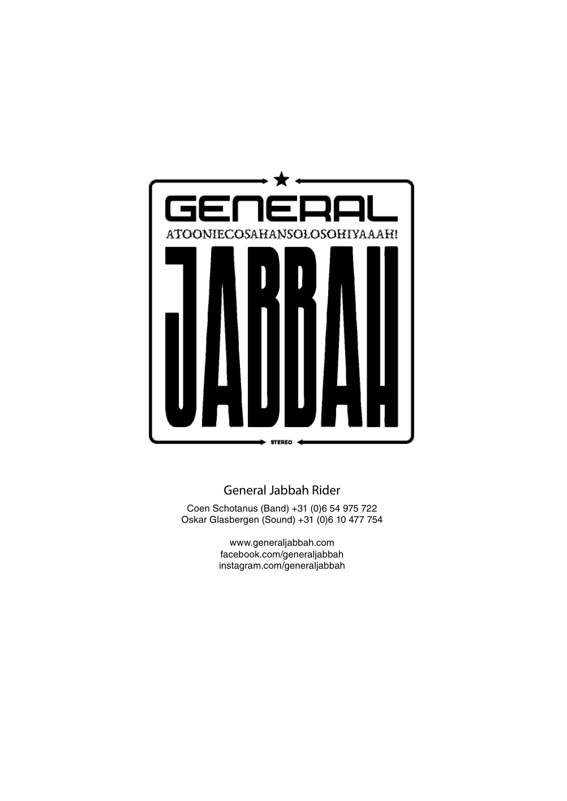

#### General Jabbah Rider

Coen Schotanus (Band) +31 (0)6 54 975 722 Oskar Glasbergen (Sound) +31 (0)6 10 477 754

> www.generaljabbah.com facebook.com/generaljabbah instagram.com/generaljabbah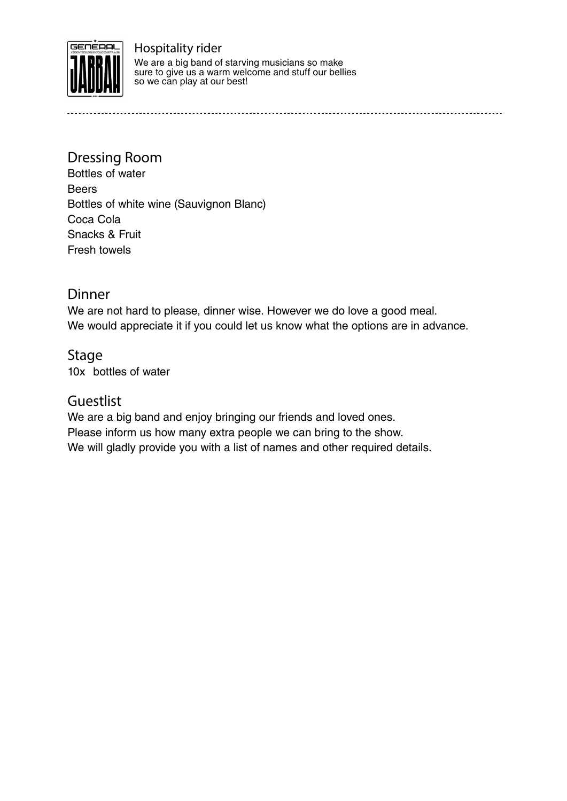

Hospitality rider We are a big band of starving musicians so make sure to give us a warm welcome and stuff our bellies so we can play at our best!

Dressing Room Bottles of water Beers Bottles of white wine (Sauvignon Blanc) Coca Cola Snacks & Fruit Fresh towels

#### Dinner

We are not hard to please, dinner wise. However we do love a good meal. We would appreciate it if you could let us know what the options are in advance.

Stage 10x bottles of water

#### Guestlist

We are a big band and enjoy bringing our friends and loved ones. Please inform us how many extra people we can bring to the show. We will gladly provide you with a list of names and other required details.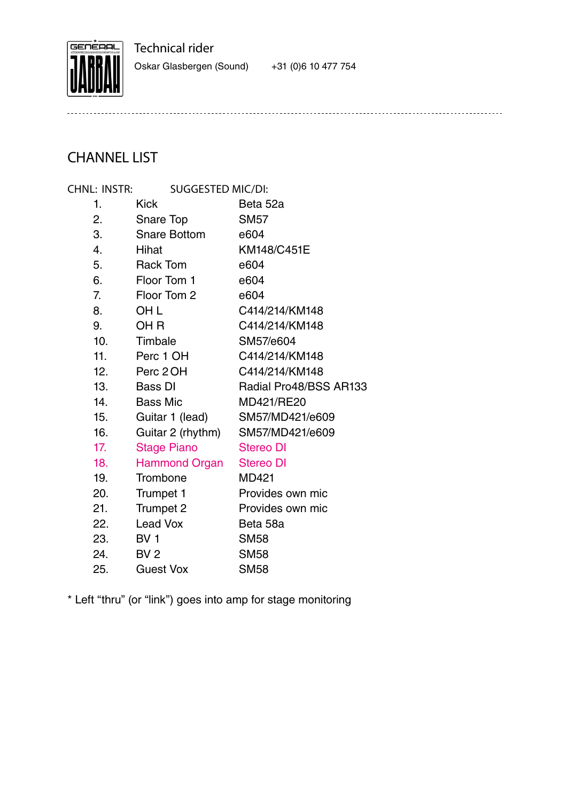

Technical rider

Oskar Glasbergen (Sound) +31 (0)6 10 477 754

# CHANNEL LIST

| Chnl: Instr: | SUGGESTED MIC/DI:   |                        |
|--------------|---------------------|------------------------|
| 1.           | <b>Kick</b>         | Beta 52a               |
| 2.           | Snare Top           | <b>SM57</b>            |
| 3.           | <b>Snare Bottom</b> | e604                   |
| 4.           | Hihat               | KM148/C451E            |
| 5.           | <b>Rack Tom</b>     | e604                   |
| 6.           | Floor Tom 1         | e604                   |
| 7.           | Floor Tom 2         | e604                   |
| 8.           | OH L                | C414/214/KM148         |
| 9.           | OH R                | C414/214/KM148         |
| 10.          | Timbale             | SM57/e604              |
| 11.          | Perc 1 OH           | C414/214/KM148         |
| 12.          | Perc 2 OH           | C414/214/KM148         |
| 13.          | Bass DI             | Radial Pro48/BSS AR133 |
| 14.          | <b>Bass Mic</b>     | MD421/RE20             |
| 15.          | Guitar 1 (lead)     | SM57/MD421/e609        |
| 16.          | Guitar 2 (rhythm)   | SM57/MD421/e609        |
| 17.          | <b>Stage Piano</b>  | <b>Stereo DI</b>       |
| 18.          | Hammond Organ       | <b>Stereo DI</b>       |
| 19.          | Trombone            | <b>MD421</b>           |
| 20.          | Trumpet 1           | Provides own mic       |
| 21.          | Trumpet 2           | Provides own mic       |
| 22.          | Lead Vox            | Beta 58a               |
| 23.          | BV <sub>1</sub>     | <b>SM58</b>            |
| 24.          | BV <sub>2</sub>     | <b>SM58</b>            |
| 25.          | <b>Guest Vox</b>    | <b>SM58</b>            |

\* Left "thru" (or "link") goes into amp for stage monitoring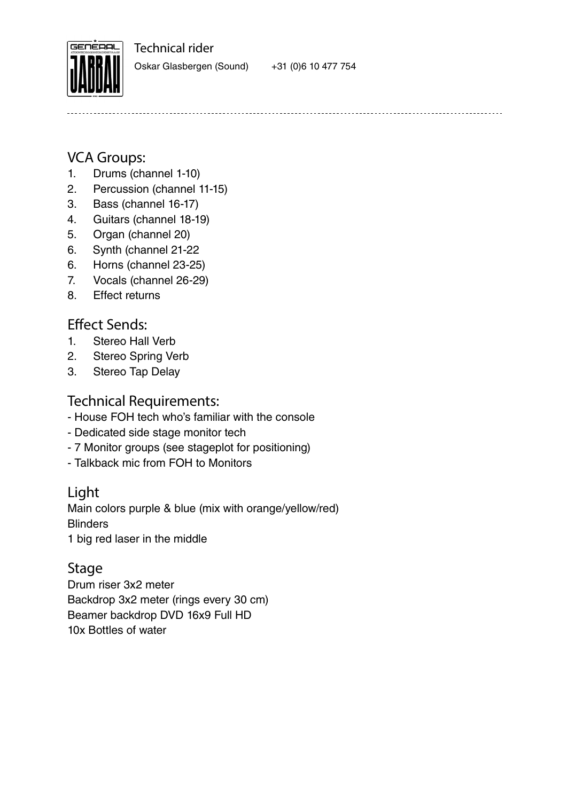Technical rider



Oskar Glasbergen (Sound) +31 (0)6 10 477 754

# VCA Groups:

- 1. Drums (channel 1-10)
- 2. Percussion (channel 11-15)
- 3. Bass (channel 16-17)
- 4. Guitars (channel 18-19)
- 5. Organ (channel 20)
- 6. Synth (channel 21-22
- 6. Horns (channel 23-25)
- 7. Vocals (channel 26-29)
- 8. Effect returns

# Effect Sends:

- 1. Stereo Hall Verb
- 2. Stereo Spring Verb
- 3. Stereo Tap Delay

### Technical Requirements:

- House FOH tech who's familiar with the console
- Dedicated side stage monitor tech
- 7 Monitor groups (see stageplot for positioning)
- Talkback mic from FOH to Monitors

## Light

Main colors purple & blue (mix with orange/yellow/red) **Blinders** 1 big red laser in the middle

## Stage

Drum riser 3x2 meter Backdrop 3x2 meter (rings every 30 cm) Beamer backdrop DVD 16x9 Full HD 10x Bottles of water